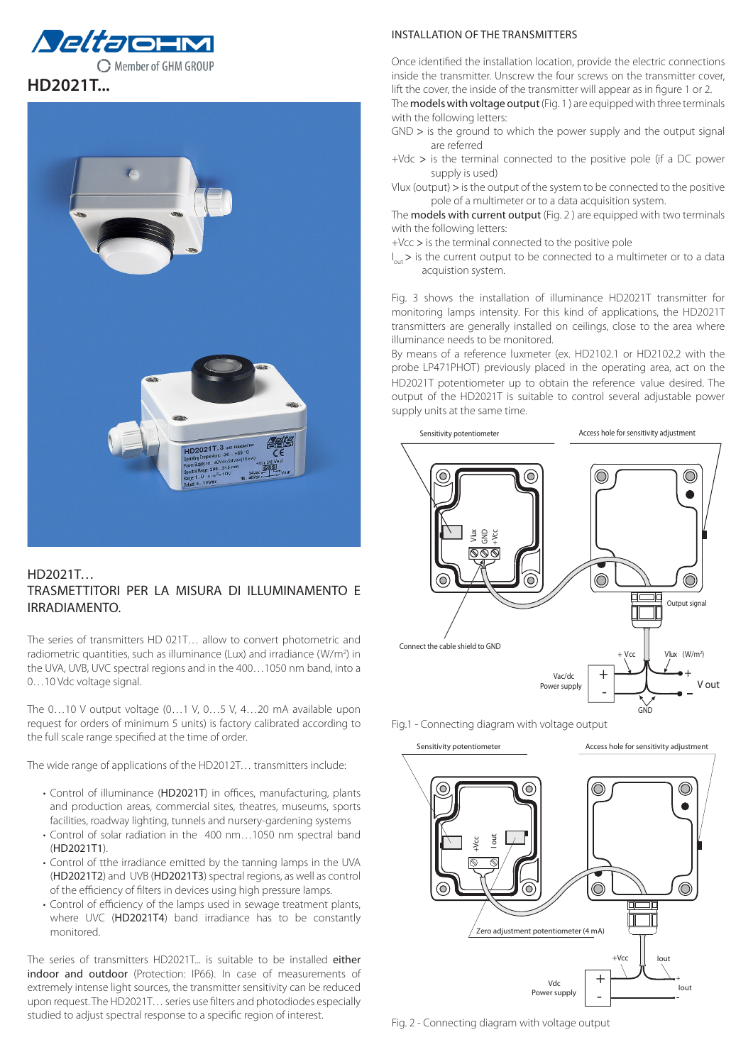



## HD2021T… TRASMETTITORI PER LA MISURA DI ILLUMINAMENTO E IRRADIAMENTO.

The series of transmitters HD 021T… allow to convert photometric and radiometric quantities, such as illuminance (Lux) and irradiance (W/m<sup>2</sup>) in the UVA, UVB, UVC spectral regions and in the 400…1050 nm band, into a 0…10 Vdc voltage signal.

The 0…10 V output voltage (0…1 V, 0…5 V, 4…20 mA available upon request for orders of minimum 5 units) is factory calibrated according to the full scale range specified at the time of order.

The wide range of applications of the HD2012T… transmitters include:

- Control of illuminance (HD2021T) in offices, manufacturing, plants and production areas, commercial sites, theatres, museums, sports facilities, roadway lighting, tunnels and nursery-gardening systems
- Control of solar radiation in the 400 nm…1050 nm spectral band (HD2021T1).
- Control of tthe irradiance emitted by the tanning lamps in the UVA (HD2021T2) and UVB (HD2021T3) spectral regions, as well as control of the efficiency of filters in devices using high pressure lamps.
- Control of efficiency of the lamps used in sewage treatment plants, where UVC (HD2021T4) band irradiance has to be constantly monitored.

The series of transmitters HD2021T... is suitable to be installed either indoor and outdoor (Protection: IP66). In case of measurements of extremely intense light sources, the transmitter sensitivity can be reduced upon request. The HD2021T… series use filters and photodiodes especially studied to adjust spectral response to a specific region of interest.

## INSTALLATION OF THE TRANSMITTERS

Once identified the installation location, provide the electric connections inside the transmitter. Unscrew the four screws on the transmitter cover, lift the cover, the inside of the transmitter will appear as in figure 1 or 2.

The models with voltage output (Fig. 1) are equipped with three terminals with the following letters:

- GND > is the ground to which the power supply and the output signal are referred
- +Vdc > is the terminal connected to the positive pole (if a DC power supply is used)

Vlux (output) > is the output of the system to be connected to the positive pole of a multimeter or to a data acquisition system.

The models with current output (Fig. 2) are equipped with two terminals with the following letters:

+Vcc > is the terminal connected to the positive pole

I<sub>out</sub> > is the current output to be connected to a multimeter or to a data acquistion system.

Fig. 3 shows the installation of illuminance HD2021T transmitter for monitoring lamps intensity. For this kind of applications, the HD2021T transmitters are generally installed on ceilings, close to the area where illuminance needs to be monitored.

By means of a reference luxmeter (ex. HD2102.1 or HD2102.2 with the probe LP471PHOT) previously placed in the operating area, act on the HD2021T potentiometer up to obtain the reference value desired. The output of the HD2021T is suitable to control several adjustable power supply units at the same time.



Fig.1 - Connecting diagram with voltage output



Fig. 2 - Connecting diagram with voltage output